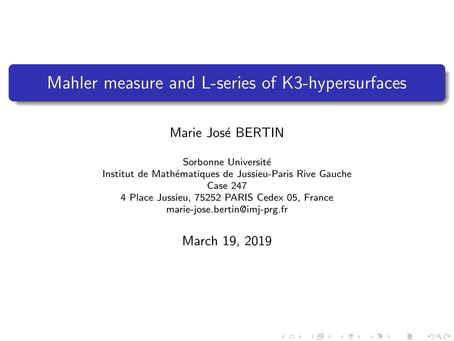### <span id="page-0-0"></span>Mahler measure and L-series of K3-hypersurfaces

### Marie José BERTIN

Sorbonne Université Institut de Mathématiques de Jussieu-Paris Rive Gauche Case 247 4 Place Jussieu, 75252 PARIS Cedex 05, France marie-jose.bertin@imj-prg.fr

March 19, 2019

★ ロ ▶ → 御 ▶ → 결 ▶ → 결 ▶ │ 결

 $2Q$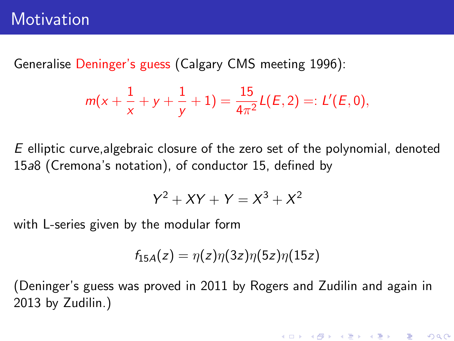Generalise Deninger's guess (Calgary CMS meeting 1996):

$$
m(x+\frac{1}{x}+y+\frac{1}{y}+1)=\frac{15}{4\pi^2}L(E,2)=:L'(E,0),
$$

E elliptic curve,algebraic closure of the zero set of the polynomial, denoted 15a8 (Cremona's notation), of conductor 15, defined by

$$
Y^2 + XY + Y = X^3 + X^2
$$

with L-series given by the modular form

$$
f_{15A}(z)=\eta(z)\eta(3z)\eta(5z)\eta(15z)
$$

(Deninger's guess was proved in 2011 by Rogers and Zudilin and again in 2013 by Zudilin.)

(ロ) (御) (君) (君) (君) 君 のぬの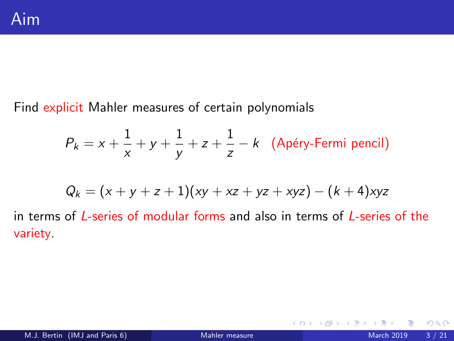Find explicit Mahler measures of certain polynomials

$$
P_k = x + \frac{1}{x} + y + \frac{1}{y} + z + \frac{1}{z} - k
$$
 (Apéry-Fermi pencil)

$$
Q_k = (x + y + z + 1)(xy + xz + yz + xyz) - (k + 4)xyz
$$

in terms of L-series of modular forms and also in terms of L-series of the variety.

4 0 8 4

 $QQ$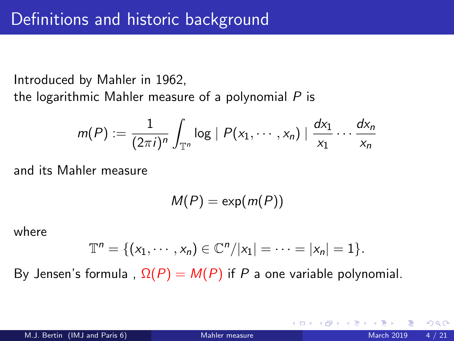Introduced by Mahler in 1962,

the logarithmic Mahler measure of a polynomial  $P$  is

$$
m(P) := \frac{1}{(2\pi i)^n} \int_{\mathbb{T}^n} \log |P(x_1,\dots,x_n)| \frac{dx_1}{x_1} \dots \frac{dx_n}{x_n}
$$

and its Mahler measure

 $M(P) = \exp(m(P))$ 

where

$$
\mathbb{T}^n = \{ (x_1, \cdots, x_n) \in \mathbb{C}^n / |x_1| = \cdots = |x_n| = 1 \}.
$$

By Jensen's formula,  $\Omega(P) = M(P)$  if P a one variable polynomial.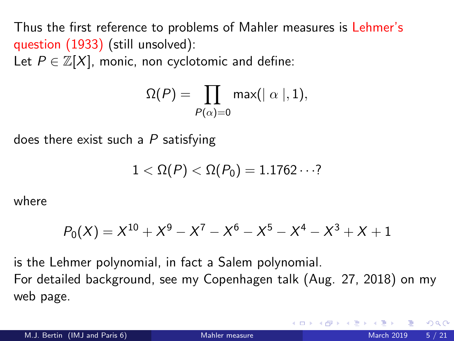Thus the first reference to problems of Mahler measures is Lehmer's question (1933) (still unsolved):

Let  $P \in \mathbb{Z}[X]$ , monic, non cyclotomic and define:

$$
\Omega(P)=\prod_{P(\alpha)=0} \mathsf{max}(|\alpha|,1),
$$

does there exist such a  $P$  satisfying

$$
1<\Omega(P)<\Omega(P_0)=1.1762\cdots?
$$

where

$$
P_0(X) = X^{10} + X^9 - X^7 - X^6 - X^5 - X^4 - X^3 + X + 1
$$

is the Lehmer polynomial, in fact a Salem polynomial. For detailed background, see my Copenhagen talk (Aug. 27, 2018) on my web page.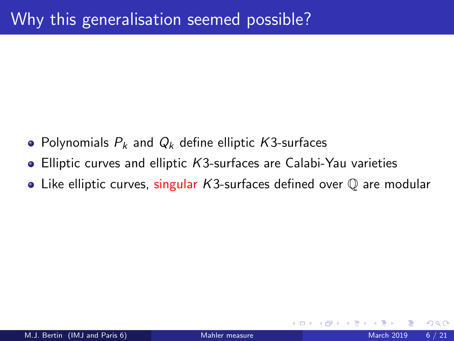- Polynomials  $P_k$  and  $Q_k$  define elliptic K3-surfaces
- Elliptic curves and elliptic K3-surfaces are Calabi-Yau varieties
- Like elliptic curves, singular  $K3$ -surfaces defined over  $\mathbb O$  are modular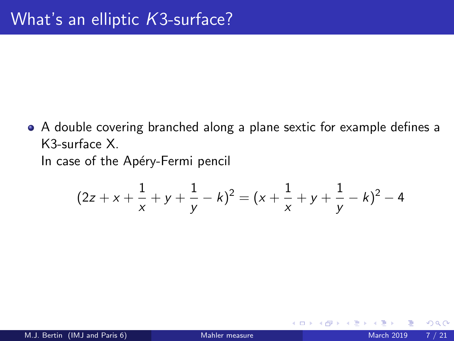<span id="page-6-0"></span>A double covering branched along a plane sextic for example defines a K3-surface X. In case of the Apéry-Fermi pencil

$$
(2z + x + \frac{1}{x} + y + \frac{1}{y} - k)^2 = (x + \frac{1}{x} + y + \frac{1}{y} - k)^2 - 4
$$

4 0 8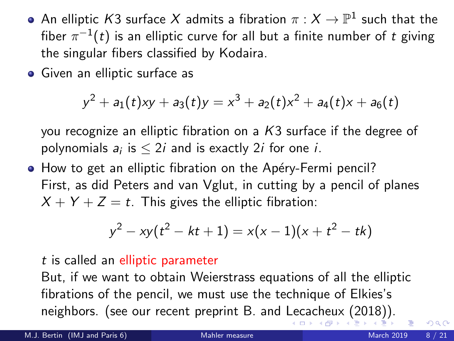- <span id="page-7-0"></span>An elliptic  $\mathcal{K}3$  surface  $X$  admits a fibration  $\pi:X\to\mathbb{P}^1$  such that the fiber  $\pi^{-1}(t)$  is an elliptic curve for all but a finite number of  $t$  giving the singular fibers classified by Kodaira.
- Given an elliptic surface as

$$
y^2 + a_1(t)xy + a_3(t)y = x^3 + a_2(t)x^2 + a_4(t)x + a_6(t)
$$

you recognize an elliptic fibration on a K3 surface if the degree of polynomials  $a_i$  is  $\leq 2i$  and is exactly 2*i* for one *i*.

• How to get an elliptic fibration on the Apéry-Fermi pencil? First, as did Peters and van Vglut, in cutting by a pencil of planes  $X + Y + Z = t$ . This gives the elliptic fibration:

$$
y^2 - xy(t^2 - kt + 1) = x(x - 1)(x + t^2 - tk)
$$

#### t is called an elliptic parameter

But, if we want to obtain Weierstrass equations of all the elliptic fibrations of the pencil, we must use the technique of Elkies's neighbors. (see our recent preprint B. and [Lec](#page-6-0)[ac](#page-8-0)[h](#page-6-0)[eu](#page-7-0)[x](#page-8-0) [\(](#page-0-0)[20](#page-20-0)[18\)](#page-0-0)[\).](#page-20-0)

 $QQ$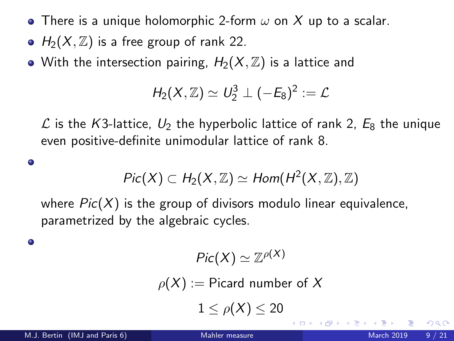- <span id="page-8-0"></span>• There is a unique holomorphic 2-form  $\omega$  on X up to a scalar.
- $H_2(X, \mathbb{Z})$  is a free group of rank 22.
- With the intersection pairing,  $H_2(X, \mathbb{Z})$  is a lattice and

$$
H_2(X,\mathbb{Z})\simeq U_2^3\perp (-E_8)^2:=\mathcal{L}
$$

 $\mathcal{L}$  is the K3-lattice,  $U_2$  the hyperbolic lattice of rank 2,  $E_8$  the unique even positive-definite unimodular lattice of rank 8.

$$
Pic(X) \subset H_2(X,\mathbb{Z}) \simeq Hom(H^2(X,\mathbb{Z}),\mathbb{Z})
$$

where  $Pic(X)$  is the group of divisors modulo linear equivalence, parametrized by the algebraic cycles.

۰

 $\bullet$ 

$$
Pic(X)\simeq \mathbb{Z}^{\rho(X)}
$$

 $\rho(X) :=$  Picard number of X

 $1 < \rho(X) < 20$ 

4 0 8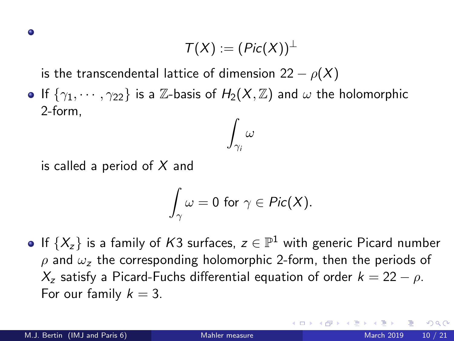$$
\mathcal{T}(X):=(\mathit{Pic}(X))^{\perp}
$$

is the transcendental lattice of dimension 22  $\rho(X)$ 

If  $\{\gamma_1, \cdots, \gamma_{22}\}$  is a Z-basis of  $H_2(X, \mathbb{Z})$  and  $\omega$  the holomorphic 2-form,  $\int \omega$ 

is called a period of  $X$  and

$$
\int_{\gamma}\omega=0\,\,\text{for}\,\,\gamma\in\mathit{Pic}(X).
$$

 $\gamma_i$ 

If  $\{X_z\}$  is a family of  $K3$  surfaces,  $z\in\mathbb{P}^1$  with generic Picard number  $ρ$  and  $ω<sub>z</sub>$  the corresponding holomorphic 2-form, then the periods of  $X_z$  satisfy a Picard-Fuchs differential equation of order  $k = 22 - \rho$ . For our family  $k = 3$ .

つへへ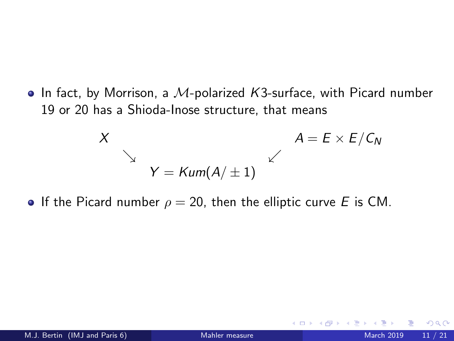$\bullet$  In fact, by Morrison, a M-polarized K3-surface, with Picard number 19 or 20 has a Shioda-Inose structure, that means

$$
X
$$
\n
$$
Y = \text{Kum}(A/\pm 1)
$$
\n
$$
A = E \times E/C_N
$$

If the Picard number  $\rho = 20$ , then the elliptic curve E is CM.

4 0 3 4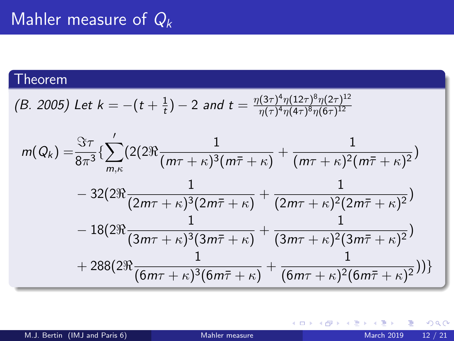### Theorem

(B. 2005) Let 
$$
k = -(t + \frac{1}{t}) - 2
$$
 and  $t = \frac{\eta(3\tau)^4 \eta(12\tau)^8 \eta(2\tau)^{12}}{\eta(\tau)^4 \eta(4\tau)^8 \eta(6\tau)^{12}}$ 

$$
m(Q_k) = \frac{\Im \tau}{8\pi^3} \left\{ \sum_{m,\kappa}^{\prime} \left( 2(2\Re \frac{1}{(m\tau + \kappa)^3 (m\bar{\tau} + \kappa)} + \frac{1}{(m\tau + \kappa)^2 (m\bar{\tau} + \kappa)^2} \right) - 32(2\Re \frac{1}{(2m\tau + \kappa)^3 (2m\bar{\tau} + \kappa)} + \frac{1}{(2m\tau + \kappa)^2 (2m\bar{\tau} + \kappa)^2}) - 18(2\Re \frac{1}{(3m\tau + \kappa)^3 (3m\bar{\tau} + \kappa)} + \frac{1}{(3m\tau + \kappa)^2 (3m\bar{\tau} + \kappa)^2}) + 288(2\Re \frac{1}{(6m\tau + \kappa)^3 (6m\bar{\tau} + \kappa)} + \frac{1}{(6m\tau + \kappa)^2 (6m\bar{\tau} + \kappa)^2}) ) \right\}
$$

メロト メ都 トメ ヨ トメ ヨ

 $299$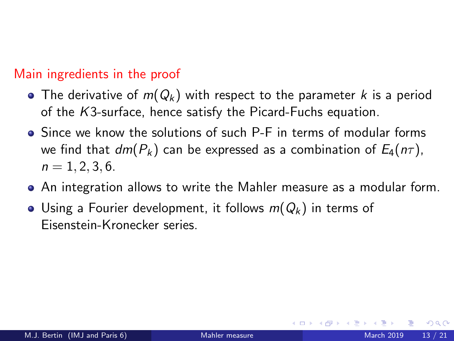### Main ingredients in the proof

- The derivative of  $m(Q_k)$  with respect to the parameter k is a period of the K3-surface, hence satisfy the Picard-Fuchs equation.
- Since we know the solutions of such P-F in terms of modular forms we find that  $dm(P_k)$  can be expressed as a combination of  $E_4(n\tau)$ ,  $n = 1, 2, 3, 6.$
- An integration allows to write the Mahler measure as a modular form.
- Using a Fourier development, it follows  $m(Q_k)$  in terms of Eisenstein-Kronecker series.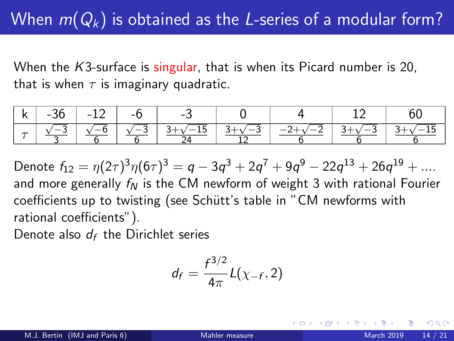## When  $m(Q_k)$  is obtained as the L-series of a modular form?

When the  $K3$ -surface is singular, that is when its Picard number is 20, that is when  $\tau$  is imaginary quadratic.

| - k 1 | $-36$ $-12$ $-6$ $-$ | $-3$                                                       |                                                                 |  |
|-------|----------------------|------------------------------------------------------------|-----------------------------------------------------------------|--|
|       |                      | $\sim$ $\sqrt{-3}$ $\sqrt{-6}$ $\sqrt{-3}$ 3+ $\sqrt{-15}$ | $\sqrt{-3}$   3+ $\sqrt{-15}$   3+ $\sqrt{-3}$   $-2+\sqrt{-2}$ |  |

Denote  $f_{12} = \eta(2\tau)^3\eta(6\tau)^3 = q - 3q^3 + 2q^7 + 9q^9 - 22q^{13} + 26q^{19} + ....$ and more generally  $f_N$  is the CM newform of weight 3 with rational Fourier coefficients up to twisting (see Schütt's table in "CM newforms with rational coefficients").

Denote also  $d_f$  the Dirichlet series

$$
d_f=\frac{f^{3/2}}{4\pi}L(\chi_{-f},2)
$$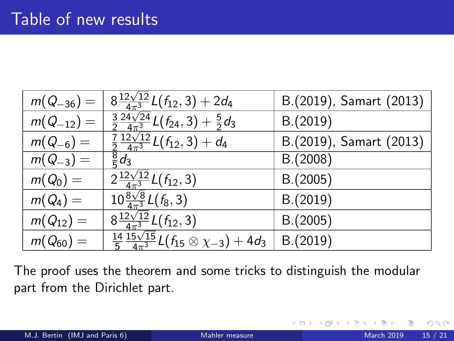| $m(Q_{-36}) =$ | $\frac{32\sqrt{12}}{4\pi^3}L(f_{12},3)+2d_4$                                                 | B.(2019), Samart (2013) |
|----------------|----------------------------------------------------------------------------------------------|-------------------------|
| $m(Q_{-12}) =$ | $\frac{3}{2} \frac{\overline{24\sqrt{24}}}{\overline{4\pi^3}} L(f_{24},3) + \frac{5}{2} d_3$ | B.(2019)                |
| $m(Q_{-6}) =$  | $\frac{7}{2} \frac{12\sqrt{12}}{4\pi^3} L(f_{12}, 3) + d_4$                                  | B.(2019), Samart (2013) |
| $m(Q_{-3}) =$  | $\frac{8}{5}d_3$                                                                             | B.(2008)                |
| $m(Q_0) =$     | $2\frac{12\sqrt{12}}{4\pi^3}L(f_{12},3)$                                                     | B.(2005)                |
| $m(Q_4) =$     | $10\frac{8\sqrt{8}}{4\pi^3}L(f_8,3)$                                                         | B.(2019)                |
| $m(Q_{12}) =$  | $8\frac{12\sqrt{12}}{4\pi^3}L(f_{12},3)$                                                     | B.(2005)                |
| $m(Q_{60}) =$  | $\frac{14}{5} \frac{15\sqrt{15}}{4\pi^3} L(f_{15} \otimes \chi_{-3}) + 4d_3$                 | B.(2019)                |

The proof uses the theorem and some tricks to distinguish the modular part from the Dirichlet part.

4 0 8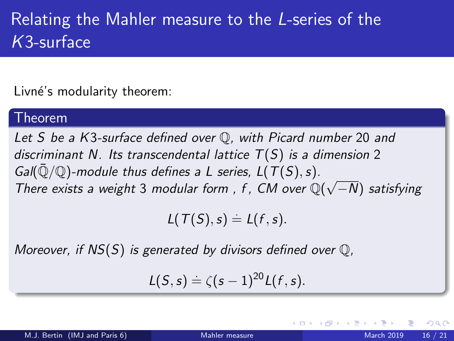# Relating the Mahler measure to the L-series of the K3-surface

Livné's modularity theorem:

### Theorem

Let S be a K3-surface defined over  $\mathbb Q$ , with Picard number 20 and discriminant N. Its transcendental lattice  $T(S)$  is a dimension 2  $Gal(\bar{Q}/\mathbb{O})$ -module thus defines a L series,  $L(T(S), s)$ . Gan  $\mathbb{Q}/\mathbb{Q}$  -module thus defines a L series, L(1(3), s).<br>There exists a weight 3 modular form, f, CM over  $\mathbb{Q}(\sqrt{2})$ −N) satisfying

 $L(T(S), s) \doteq L(f, s).$ 

Moreover, if  $NS(S)$  is generated by divisors defined over  $\mathbb{Q}$ ,

$$
L(S,s)=\zeta(s-1)^{20}L(f,s).
$$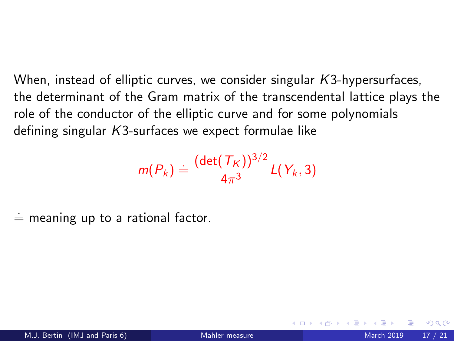When, instead of elliptic curves, we consider singular  $K3$ -hypersurfaces, the determinant of the Gram matrix of the transcendental lattice plays the role of the conductor of the elliptic curve and for some polynomials defining singular K3-surfaces we expect formulae like

$$
m(P_k) \doteq \frac{(\det(\mathcal{T}_K))^{3/2}}{4\pi^3} L(Y_k, 3)
$$

 $\dot{=}$  meaning up to a rational factor.

つひひ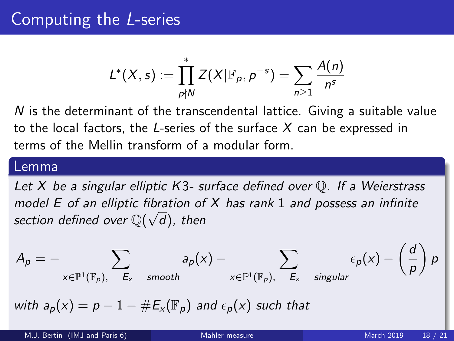$$
L^*(X,s):=\prod_{p\nmid N}^*Z(X|\mathbb{F}_p,p^{-s})=\sum_{n\geq 1}\frac{A(n)}{n^s}
$$

 $N$  is the determinant of the transcendental lattice. Giving a suitable value to the local factors, the L-series of the surface  $X$  can be expressed in terms of the Mellin transform of a modular form.

#### Lemma

Let  $X$  be a singular elliptic K3- surface defined over  $\mathbb Q$ . If a Weierstrass model E of an elliptic fibration of X has rank 1 and possess an infinite section defined over  $\mathbb{Q}(\sqrt{d})$ , then

$$
A_p = - \sum_{x \in \mathbb{P}^1(\mathbb{F}_p), \ E_x \text{ smooth}} a_p(x) - \sum_{x \in \mathbb{P}^1(\mathbb{F}_p), \ E_x \text{ singular}} \epsilon_p(x) - \left(\frac{d}{p}\right)p
$$

with  $a_p(x) = p - 1 - \#E_x(\mathbb{F}_p)$  and  $\epsilon_p(x)$  such that

 $\lambda$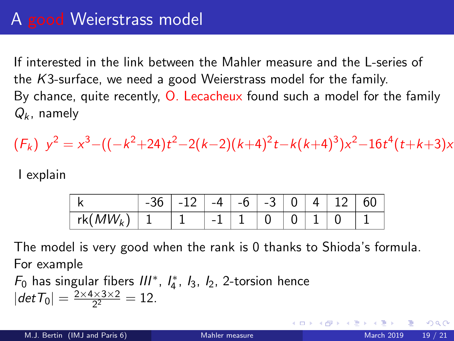### A good Weierstrass model

If interested in the link between the Mahler measure and the L-series of the K3-surface, we need a good Weierstrass model for the family. By chance, quite recently, O. Lecacheux found such a model for the family  $Q_k$ , namely

$$
(F_k) y^2 = x^3 - ((-k^2 + 24)t^2 - 2(k-2)(k+4)^2t - k(k+4)^3)x^2 - 16t^4(t+k+3)x
$$

I explain

|                     | $\vert -12 \vert -4 \vert -6 \vert -3 \vert 0 \vert 4 \vert 12 \vert$ |  |  |  | hU |
|---------------------|-----------------------------------------------------------------------|--|--|--|----|
| $\mid$ rk( $MW_{k}$ |                                                                       |  |  |  |    |

The model is very good when the rank is 0 thanks to Shioda's formula. For example

 $F_0$  has singular fibers  $III^*$ ,  $I_4^*$ ,  $I_3$ ,  $I_2$ , 2-torsion hence  $|det T_0| = \frac{2 \times 4 \times 3 \times 2}{2^2}$  $\frac{1\times3\times2}{2^2} = 12.$ 

つへへ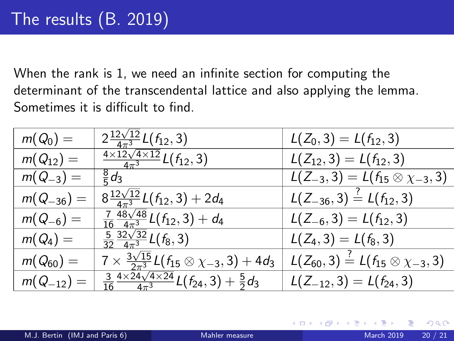When the rank is 1, we need an infinite section for computing the determinant of the transcendental lattice and also applying the lemma. Sometimes it is difficult to find.

| $m(Q_0) =$     | $2\frac{12\sqrt{12}}{4\pi^3}L(f_{12},3)$                                         | $L(Z_0,3) = L(f_{12},3)$                                    |
|----------------|----------------------------------------------------------------------------------|-------------------------------------------------------------|
| $m(Q_{12}) =$  | $\frac{4\times12\sqrt{4\times12}}{4\pi^3}L(f_{12},3)$                            | $L(Z_{12},3) = L(f_{12},3)$                                 |
| $m(Q_{-3}) =$  | $rac{8}{5}d_3$                                                                   | $\overline{L(Z_{-3},3)} = L(f_{15} \otimes \chi_{-3},3)$    |
| $m(Q_{-36}) =$ | $8\frac{12\sqrt{12}}{4\pi^3}L(f_{12},3)+2d_4$                                    | $L(Z_{-36}, 3) \stackrel{?}{=} L(f_{12}, 3)$                |
| $m(Q_{-6}) =$  | $\frac{7}{16} \frac{48\sqrt{48}}{4\pi^3} L(f_{12}, 3) + d_4$                     | $L(Z_{-6},3) = L(f_{12},3)$                                 |
| $m(Q_4) =$     | $\frac{5}{32} \frac{32\sqrt{32}}{4\pi^3} L(f_8, 3)$                              | $L(Z_4,3) = L(f_8,3)$                                       |
| $m(Q_{60}) =$  | $7 \times \frac{3\sqrt{15}}{2\pi^3} L(f_{15} \otimes \chi_{-3}, 3) + 4d_3$       | $L(Z_{60},3) \stackrel{?}{=} L(f_{15} \otimes \chi_{-3},3)$ |
| $m(Q_{-12}) =$ | $\frac{3}{16}\frac{4\times24\sqrt{4\times24}}{4\pi^3}L(f_{24},3)+\frac{5}{2}d_3$ | $L(Z_{-12}, 3) = L(f_{24}, 3)$                              |

4 0 8